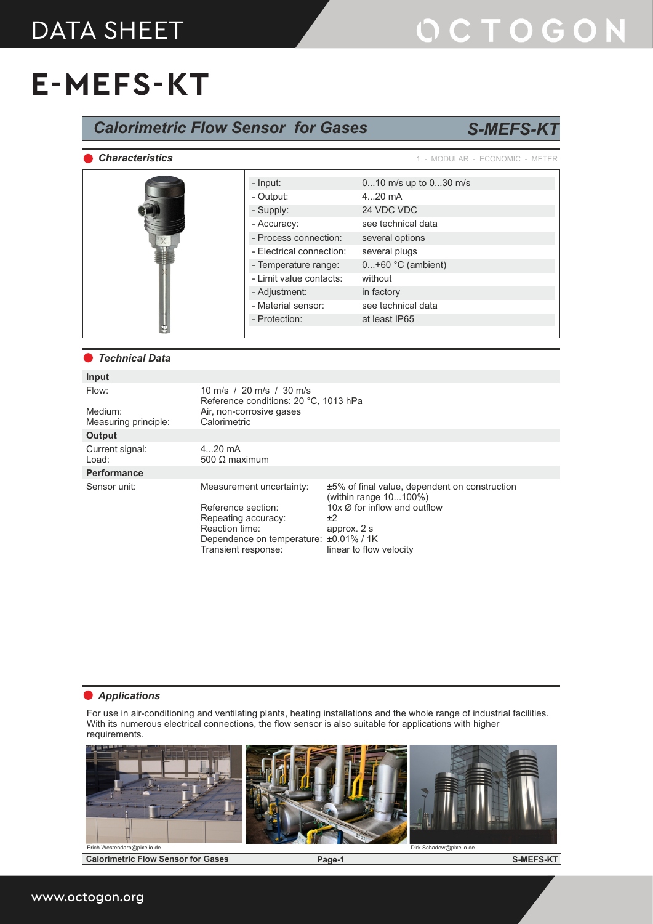#### DATA SHEET

# OCTOGON

### **E-MEFS-KT**

| <b>Calorimetric Flow Sensor for Gases</b><br><b>S-MEFS-KT</b> |                                                                                                                              |                                                                   |                                                                                                                                                                      |                                |  |  |  |  |
|---------------------------------------------------------------|------------------------------------------------------------------------------------------------------------------------------|-------------------------------------------------------------------|----------------------------------------------------------------------------------------------------------------------------------------------------------------------|--------------------------------|--|--|--|--|
| <b>Characteristics</b>                                        |                                                                                                                              |                                                                   |                                                                                                                                                                      | 1 - MODULAR - ECONOMIC - METER |  |  |  |  |
|                                                               |                                                                                                                              | - Input:                                                          |                                                                                                                                                                      | 010 m/s up to 030 m/s          |  |  |  |  |
|                                                               |                                                                                                                              | - Output:                                                         |                                                                                                                                                                      | $420$ mA                       |  |  |  |  |
|                                                               |                                                                                                                              | - Supply:                                                         |                                                                                                                                                                      | 24 VDC VDC                     |  |  |  |  |
|                                                               |                                                                                                                              | - Accuracy:                                                       |                                                                                                                                                                      | see technical data             |  |  |  |  |
|                                                               |                                                                                                                              | - Process connection:                                             |                                                                                                                                                                      | several options                |  |  |  |  |
|                                                               |                                                                                                                              | - Electrical connection:                                          |                                                                                                                                                                      | several plugs                  |  |  |  |  |
|                                                               |                                                                                                                              | - Temperature range:                                              |                                                                                                                                                                      | $0+60$ °C (ambient)            |  |  |  |  |
|                                                               |                                                                                                                              | - Limit value contacts:                                           |                                                                                                                                                                      | without                        |  |  |  |  |
|                                                               |                                                                                                                              | - Adjustment:                                                     |                                                                                                                                                                      | in factory                     |  |  |  |  |
|                                                               |                                                                                                                              | - Material sensor:                                                |                                                                                                                                                                      | see technical data             |  |  |  |  |
|                                                               |                                                                                                                              | - Protection:                                                     |                                                                                                                                                                      | at least IP65                  |  |  |  |  |
|                                                               |                                                                                                                              |                                                                   |                                                                                                                                                                      |                                |  |  |  |  |
|                                                               |                                                                                                                              |                                                                   |                                                                                                                                                                      |                                |  |  |  |  |
| <b>Technical Data</b>                                         |                                                                                                                              |                                                                   |                                                                                                                                                                      |                                |  |  |  |  |
| Input                                                         |                                                                                                                              |                                                                   |                                                                                                                                                                      |                                |  |  |  |  |
| Flow:                                                         |                                                                                                                              | 10 m/s / 20 m/s / 30 m/s<br>Reference conditions: 20 °C, 1013 hPa |                                                                                                                                                                      |                                |  |  |  |  |
| Medium:<br>Measuring principle:                               | Calorimetric                                                                                                                 | Air, non-corrosive gases                                          |                                                                                                                                                                      |                                |  |  |  |  |
| <b>Output</b>                                                 |                                                                                                                              |                                                                   |                                                                                                                                                                      |                                |  |  |  |  |
| Current signal:<br>Load:                                      | $420$ mA<br>500 $\Omega$ maximum                                                                                             |                                                                   |                                                                                                                                                                      |                                |  |  |  |  |
| Performance                                                   |                                                                                                                              |                                                                   |                                                                                                                                                                      |                                |  |  |  |  |
| Sensor unit:                                                  | Measurement uncertainty:                                                                                                     |                                                                   | ±5% of final value, dependent on construction<br>(within range 10100%)<br>10x $\varnothing$ for inflow and outflow<br>$+2$<br>approx. 2 s<br>linear to flow velocity |                                |  |  |  |  |
|                                                               | Reference section:<br>Repeating accuracy:<br>Reaction time:<br>Dependence on temperature: ±0,01% / 1K<br>Transient response: |                                                                   |                                                                                                                                                                      |                                |  |  |  |  |

#### *Applications*

For use in air-conditioning and ventilating plants, heating installations and the whole range of industrial facilities. With its numerous electrical connections, the flow sensor is also suitable for applications with higher requirements.



**Calorimetric Flow Sensor for Gases Page-1**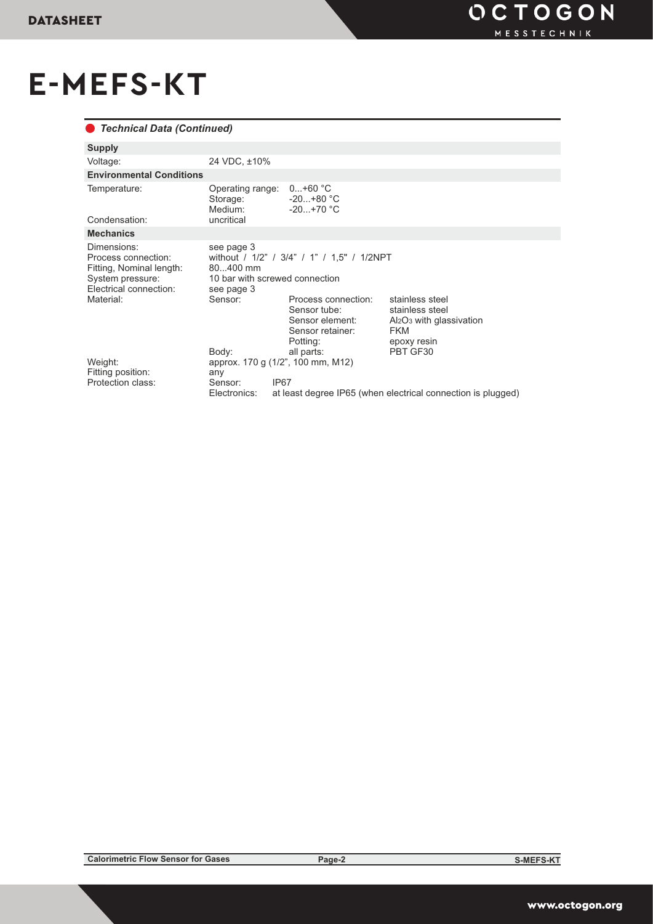# **E-MEFS-KT**

#### *Technical Data (Continued)*

| <b>Supply</b>                                                                                                             |                                                                                                                                                                                                              |                                                                                                            |                                                                                                                                                           |  |  |
|---------------------------------------------------------------------------------------------------------------------------|--------------------------------------------------------------------------------------------------------------------------------------------------------------------------------------------------------------|------------------------------------------------------------------------------------------------------------|-----------------------------------------------------------------------------------------------------------------------------------------------------------|--|--|
| Voltage:                                                                                                                  | 24 VDC, ±10%                                                                                                                                                                                                 |                                                                                                            |                                                                                                                                                           |  |  |
| <b>Environmental Conditions</b>                                                                                           |                                                                                                                                                                                                              |                                                                                                            |                                                                                                                                                           |  |  |
| Temperature:<br>Condensation:                                                                                             | Operating range:<br>Storage:<br>Medium:<br>uncritical                                                                                                                                                        | $0+60 °C$<br>$-20+80 °C$<br>$-20+70$ °C                                                                    |                                                                                                                                                           |  |  |
| <b>Mechanics</b>                                                                                                          |                                                                                                                                                                                                              |                                                                                                            |                                                                                                                                                           |  |  |
| Dimensions:<br>Process connection:<br>Fitting, Nominal length:<br>System pressure:<br>Electrical connection:<br>Material: | see page 3<br>without / 1/2" / 3/4" / 1" / 1,5" / 1/2NPT<br>80400 mm<br>10 bar with screwed connection<br>see page 3<br>Sensor:<br>stainless steel<br>Process connection:<br>Sensor tube:<br>stainless steel |                                                                                                            |                                                                                                                                                           |  |  |
| Weight:<br>Fitting position:<br>Protection class:                                                                         | Body:<br>any<br>Sensor:<br>Electronics:                                                                                                                                                                      | Sensor element:<br>Sensor retainer:<br>Potting:<br>all parts:<br>approx. 170 g (1/2", 100 mm, M12)<br>IP67 | Al <sub>2</sub> O <sub>3</sub> with glassivation<br><b>FKM</b><br>epoxy resin<br>PBT GF30<br>at least degree IP65 (when electrical connection is plugged) |  |  |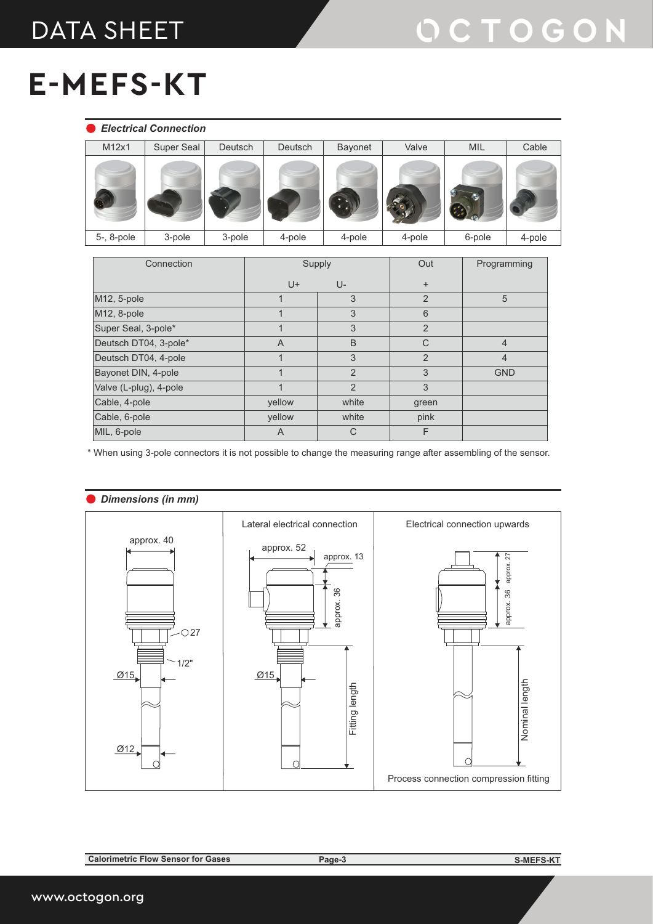#### DATA SHEET

# **E-MEFS-KT**

|            | <b>Electrical Connection</b> |         |         |         |        |        |        |
|------------|------------------------------|---------|---------|---------|--------|--------|--------|
| M12x1      | Super Seal                   | Deutsch | Deutsch | Bayonet | Valve  | MIL    | Cable  |
|            |                              |         |         |         |        |        |        |
| 5-, 8-pole | 3-pole                       | 3-pole  | 4-pole  | 4-pole  | 4-pole | 6-pole | 4-pole |

| Connection             | Supply         |                | Out            | Programming    |  |
|------------------------|----------------|----------------|----------------|----------------|--|
|                        | $U +$          | U-             | $\ddot{}$      |                |  |
| M12, 5-pole            |                | 3              | $\overline{2}$ | 5              |  |
| M12, 8-pole            |                | 3              | 6              |                |  |
| Super Seal, 3-pole*    |                | 3              | $\overline{2}$ |                |  |
| Deutsch DT04, 3-pole*  | $\overline{A}$ | B              | $\mathsf{C}$   | $\overline{4}$ |  |
| Deutsch DT04, 4-pole   |                | 3              | $\overline{2}$ | $\overline{4}$ |  |
| Bayonet DIN, 4-pole    |                | $\overline{2}$ | 3              | <b>GND</b>     |  |
| Valve (L-plug), 4-pole | $\overline{A}$ | $\overline{2}$ | 3              |                |  |
| Cable, 4-pole          | yellow         | white          | green          |                |  |
| Cable, 6-pole          | yellow         | white          | pink           |                |  |
| MIL, 6-pole            | A              | $\mathsf{C}$   | F              |                |  |

\* When using 3-pole connectors it is not possible to change the measuring range after assembling of the sensor.



**Calorimetric Flow Sensor for Gases Page-3**